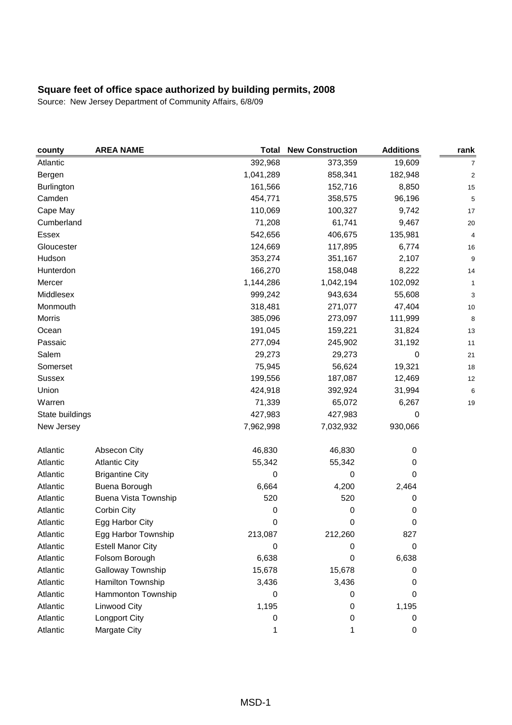| county          | <b>AREA NAME</b>            | <b>Total</b> | <b>New Construction</b> | <b>Additions</b> | rank                    |
|-----------------|-----------------------------|--------------|-------------------------|------------------|-------------------------|
| Atlantic        |                             | 392,968      | 373,359                 | 19,609           | 7                       |
| Bergen          |                             | 1,041,289    | 858,341                 | 182,948          | $\overline{\mathbf{c}}$ |
| Burlington      |                             | 161,566      | 152,716                 | 8,850            | 15                      |
| Camden          |                             | 454,771      | 358,575                 | 96,196           | 5                       |
| Cape May        |                             | 110,069      | 100,327                 | 9,742            | 17                      |
| Cumberland      |                             | 71,208       | 61,741                  | 9,467            | 20                      |
| Essex           |                             | 542,656      | 406,675                 | 135,981          | 4                       |
| Gloucester      |                             | 124,669      | 117,895                 | 6,774            | 16                      |
| Hudson          |                             | 353,274      | 351,167                 | 2,107            | 9                       |
| Hunterdon       |                             | 166,270      | 158,048                 | 8,222            | 14                      |
| Mercer          |                             | 1,144,286    | 1,042,194               | 102,092          | 1                       |
| Middlesex       |                             | 999,242      | 943,634                 | 55,608           | 3                       |
| Monmouth        |                             | 318,481      | 271,077                 | 47,404           | 10                      |
| Morris          |                             | 385,096      | 273,097                 | 111,999          | 8                       |
| Ocean           |                             | 191,045      | 159,221                 | 31,824           | 13                      |
| Passaic         |                             | 277,094      | 245,902                 | 31,192           | 11                      |
| Salem           |                             | 29,273       | 29,273                  | $\mathbf 0$      | 21                      |
| Somerset        |                             | 75,945       | 56,624                  | 19,321           | 18                      |
| <b>Sussex</b>   |                             | 199,556      | 187,087                 | 12,469           | 12                      |
| Union           |                             | 424,918      | 392,924                 | 31,994           | 6                       |
| Warren          |                             | 71,339       | 65,072                  | 6,267            | 19                      |
| State buildings |                             | 427,983      | 427,983                 | 0                |                         |
| New Jersey      |                             | 7,962,998    | 7,032,932               | 930,066          |                         |
| Atlantic        | Absecon City                | 46,830       | 46,830                  | 0                |                         |
| Atlantic        | <b>Atlantic City</b>        | 55,342       | 55,342                  | 0                |                         |
| Atlantic        | <b>Brigantine City</b>      | 0            | 0                       | 0                |                         |
| Atlantic        | Buena Borough               | 6,664        | 4,200                   | 2,464            |                         |
| Atlantic        | <b>Buena Vista Township</b> | 520          | 520                     | 0                |                         |
| Atlantic        | Corbin City                 | 0            | 0                       | 0                |                         |
| Atlantic        | Egg Harbor City             | 0            | 0                       | 0                |                         |
| Atlantic        | Egg Harbor Township         | 213,087      | 212,260                 | 827              |                         |
| Atlantic        | <b>Estell Manor City</b>    | 0            | 0                       | 0                |                         |
| Atlantic        | Folsom Borough              | 6,638        | 0                       | 6,638            |                         |
| Atlantic        | Galloway Township           | 15,678       | 15,678                  | 0                |                         |
| Atlantic        | Hamilton Township           | 3,436        | 3,436                   | 0                |                         |
| Atlantic        | Hammonton Township          | 0            | 0                       | 0                |                         |
| Atlantic        | Linwood City                | 1,195        | 0                       | 1,195            |                         |
| Atlantic        | Longport City               | 0            | 0                       | 0                |                         |
| Atlantic        | Margate City                |              |                         | 0                |                         |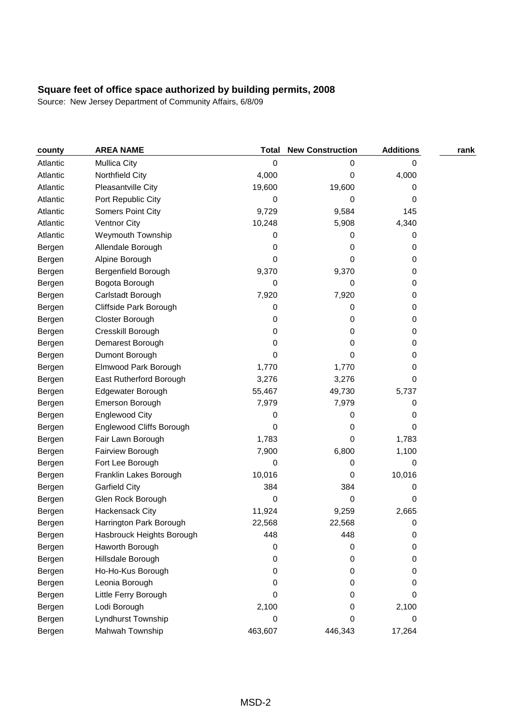| county   | <b>AREA NAME</b>          | Total   | <b>New Construction</b> | <b>Additions</b> | rank |
|----------|---------------------------|---------|-------------------------|------------------|------|
| Atlantic | <b>Mullica City</b>       | 0       | 0                       | 0                |      |
| Atlantic | Northfield City           | 4,000   | 0                       | 4,000            |      |
| Atlantic | Pleasantville City        | 19,600  | 19,600                  | 0                |      |
| Atlantic | Port Republic City        | 0       | 0                       | 0                |      |
| Atlantic | Somers Point City         | 9,729   | 9,584                   | 145              |      |
| Atlantic | <b>Ventnor City</b>       | 10,248  | 5,908                   | 4,340            |      |
| Atlantic | Weymouth Township         | 0       | 0                       | 0                |      |
| Bergen   | Allendale Borough         | 0       | 0                       | 0                |      |
| Bergen   | Alpine Borough            | 0       | 0                       | 0                |      |
| Bergen   | Bergenfield Borough       | 9,370   | 9,370                   | 0                |      |
| Bergen   | Bogota Borough            | 0       | 0                       | 0                |      |
| Bergen   | Carlstadt Borough         | 7,920   | 7,920                   | 0                |      |
| Bergen   | Cliffside Park Borough    | 0       | 0                       | 0                |      |
| Bergen   | Closter Borough           | 0       | 0                       | 0                |      |
| Bergen   | Cresskill Borough         | 0       | 0                       | 0                |      |
| Bergen   | Demarest Borough          | 0       | 0                       | 0                |      |
| Bergen   | Dumont Borough            | 0       | 0                       | 0                |      |
| Bergen   | Elmwood Park Borough      | 1,770   | 1,770                   | 0                |      |
| Bergen   | East Rutherford Borough   | 3,276   | 3,276                   | 0                |      |
| Bergen   | Edgewater Borough         | 55,467  | 49,730                  | 5,737            |      |
| Bergen   | Emerson Borough           | 7,979   | 7,979                   | 0                |      |
| Bergen   | <b>Englewood City</b>     | 0       | 0                       | 0                |      |
| Bergen   | Englewood Cliffs Borough  | 0       | 0                       | 0                |      |
| Bergen   | Fair Lawn Borough         | 1,783   | 0                       | 1,783            |      |
| Bergen   | Fairview Borough          | 7,900   | 6,800                   | 1,100            |      |
| Bergen   | Fort Lee Borough          | 0       | 0                       | 0                |      |
| Bergen   | Franklin Lakes Borough    | 10,016  | 0                       | 10,016           |      |
| Bergen   | <b>Garfield City</b>      | 384     | 384                     | 0                |      |
| Bergen   | Glen Rock Borough         | 0       | 0                       | 0                |      |
| Bergen   | Hackensack City           | 11,924  | 9,259                   | 2,665            |      |
| Bergen   | Harrington Park Borough   | 22,568  | 22,568                  | 0                |      |
| Bergen   | Hasbrouck Heights Borough | 448     | 448                     | 0                |      |
| Bergen   | Haworth Borough           | 0       | 0                       | 0                |      |
| Bergen   | Hillsdale Borough         | 0       | 0                       | 0                |      |
| Bergen   | Ho-Ho-Kus Borough         | 0       | 0                       | 0                |      |
| Bergen   | Leonia Borough            | 0       | 0                       | 0                |      |
| Bergen   | Little Ferry Borough      | 0       | 0                       | 0                |      |
| Bergen   | Lodi Borough              | 2,100   | 0                       | 2,100            |      |
| Bergen   | Lyndhurst Township        | 0       | 0                       | 0                |      |
| Bergen   | Mahwah Township           | 463,607 | 446,343                 | 17,264           |      |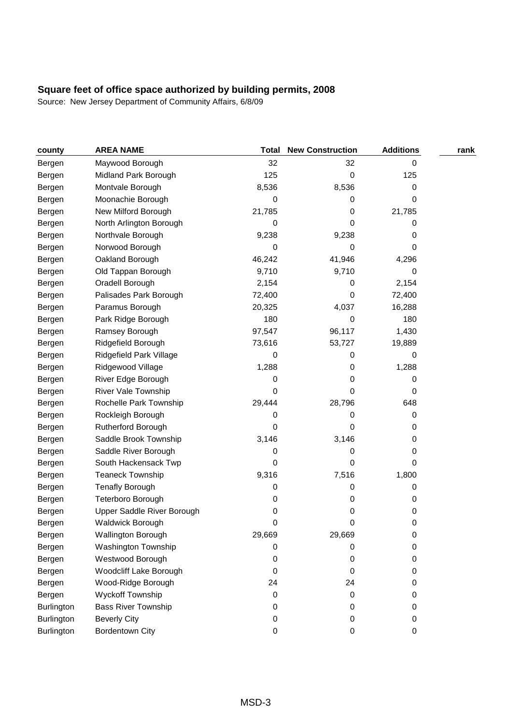| county     | <b>AREA NAME</b>           | <b>Total</b> | <b>New Construction</b> | <b>Additions</b> | rank |
|------------|----------------------------|--------------|-------------------------|------------------|------|
| Bergen     | Maywood Borough            | 32           | 32                      | 0                |      |
| Bergen     | Midland Park Borough       | 125          | 0                       | 125              |      |
| Bergen     | Montvale Borough           | 8,536        | 8,536                   | 0                |      |
| Bergen     | Moonachie Borough          | 0            | 0                       | 0                |      |
| Bergen     | New Milford Borough        | 21,785       | 0                       | 21,785           |      |
| Bergen     | North Arlington Borough    | 0            | 0                       | 0                |      |
| Bergen     | Northvale Borough          | 9,238        | 9,238                   | 0                |      |
| Bergen     | Norwood Borough            | 0            | 0                       | 0                |      |
| Bergen     | Oakland Borough            | 46,242       | 41,946                  | 4,296            |      |
| Bergen     | Old Tappan Borough         | 9,710        | 9,710                   | 0                |      |
| Bergen     | Oradell Borough            | 2,154        | 0                       | 2,154            |      |
| Bergen     | Palisades Park Borough     | 72,400       | 0                       | 72,400           |      |
| Bergen     | Paramus Borough            | 20,325       | 4,037                   | 16,288           |      |
| Bergen     | Park Ridge Borough         | 180          | 0                       | 180              |      |
| Bergen     | Ramsey Borough             | 97,547       | 96,117                  | 1,430            |      |
| Bergen     | Ridgefield Borough         | 73,616       | 53,727                  | 19,889           |      |
| Bergen     | Ridgefield Park Village    | 0            | 0                       | 0                |      |
| Bergen     | Ridgewood Village          | 1,288        | 0                       | 1,288            |      |
| Bergen     | River Edge Borough         | 0            | 0                       | 0                |      |
| Bergen     | River Vale Township        | 0            | 0                       | 0                |      |
| Bergen     | Rochelle Park Township     | 29,444       | 28,796                  | 648              |      |
| Bergen     | Rockleigh Borough          | 0            | 0                       | 0                |      |
| Bergen     | Rutherford Borough         | 0            | 0                       | 0                |      |
| Bergen     | Saddle Brook Township      | 3,146        | 3,146                   | 0                |      |
| Bergen     | Saddle River Borough       | 0            | 0                       | 0                |      |
| Bergen     | South Hackensack Twp       | 0            | 0                       | 0                |      |
| Bergen     | <b>Teaneck Township</b>    | 9,316        | 7,516                   | 1,800            |      |
| Bergen     | <b>Tenafly Borough</b>     | 0            | 0                       | 0                |      |
| Bergen     | Teterboro Borough          | 0            | 0                       | 0                |      |
| Bergen     | Upper Saddle River Borough | 0            | 0                       | 0                |      |
| Bergen     | Waldwick Borough           | 0            | 0                       | 0                |      |
| Bergen     | Wallington Borough         | 29,669       | 29,669                  | 0                |      |
| Bergen     | Washington Township        | 0            | 0                       | 0                |      |
| Bergen     | Westwood Borough           | 0            | 0                       | 0                |      |
| Bergen     | Woodcliff Lake Borough     | 0            | 0                       | 0                |      |
| Bergen     | Wood-Ridge Borough         | 24           | 24                      | 0                |      |
| Bergen     | Wyckoff Township           | 0            | 0                       | 0                |      |
| Burlington | <b>Bass River Township</b> | 0            | 0                       | 0                |      |
| Burlington | <b>Beverly City</b>        | 0            | 0                       | 0                |      |
| Burlington | Bordentown City            | 0            | 0                       | 0                |      |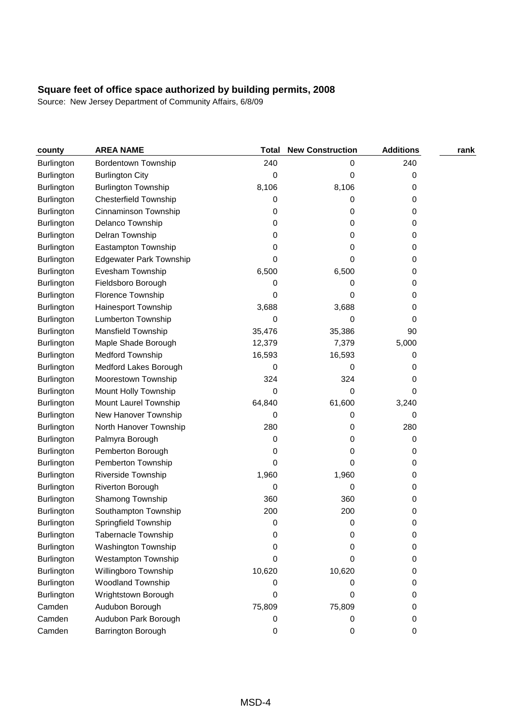| county            | <b>AREA NAME</b>               | <b>Total</b> | <b>New Construction</b> | <b>Additions</b> | rank |
|-------------------|--------------------------------|--------------|-------------------------|------------------|------|
| <b>Burlington</b> | <b>Bordentown Township</b>     | 240          | 0                       | 240              |      |
| <b>Burlington</b> | <b>Burlington City</b>         | 0            | 0                       | 0                |      |
| <b>Burlington</b> | <b>Burlington Township</b>     | 8,106        | 8,106                   | 0                |      |
| <b>Burlington</b> | <b>Chesterfield Township</b>   | 0            | 0                       | 0                |      |
| Burlington        | Cinnaminson Township           | 0            | 0                       | 0                |      |
| <b>Burlington</b> | Delanco Township               | 0            | 0                       | 0                |      |
| Burlington        | Delran Township                | 0            | 0                       | 0                |      |
| <b>Burlington</b> | Eastampton Township            | 0            | 0                       | 0                |      |
| <b>Burlington</b> | <b>Edgewater Park Township</b> | 0            | 0                       | 0                |      |
| <b>Burlington</b> | Evesham Township               | 6,500        | 6,500                   | 0                |      |
| <b>Burlington</b> | Fieldsboro Borough             | 0            | 0                       | 0                |      |
| <b>Burlington</b> | Florence Township              | 0            | 0                       | 0                |      |
| <b>Burlington</b> | Hainesport Township            | 3,688        | 3,688                   | 0                |      |
| Burlington        | <b>Lumberton Township</b>      | 0            | 0                       | 0                |      |
| <b>Burlington</b> | Mansfield Township             | 35,476       | 35,386                  | 90               |      |
| <b>Burlington</b> | Maple Shade Borough            | 12,379       | 7,379                   | 5,000            |      |
| <b>Burlington</b> | Medford Township               | 16,593       | 16,593                  | 0                |      |
| <b>Burlington</b> | Medford Lakes Borough          | 0            | 0                       | 0                |      |
| <b>Burlington</b> | Moorestown Township            | 324          | 324                     | 0                |      |
| Burlington        | Mount Holly Township           | 0            | 0                       | 0                |      |
| <b>Burlington</b> | Mount Laurel Township          | 64,840       | 61,600                  | 3,240            |      |
| <b>Burlington</b> | New Hanover Township           | 0            | 0                       | 0                |      |
| <b>Burlington</b> | North Hanover Township         | 280          | 0                       | 280              |      |
| <b>Burlington</b> | Palmyra Borough                | 0            | 0                       | 0                |      |
| <b>Burlington</b> | Pemberton Borough              | 0            | 0                       | 0                |      |
| <b>Burlington</b> | Pemberton Township             | 0            | 0                       | 0                |      |
| <b>Burlington</b> | Riverside Township             | 1,960        | 1,960                   | 0                |      |
| <b>Burlington</b> | Riverton Borough               | 0            | 0                       | 0                |      |
| <b>Burlington</b> | Shamong Township               | 360          | 360                     | 0                |      |
| Burlington        | Southampton Township           | 200          | 200                     | 0                |      |
| Burlington        | Springfield Township           | 0            | 0                       | 0                |      |
| <b>Burlington</b> | Tabernacle Township            | 0            | 0                       | 0                |      |
| Burlington        | Washington Township            | 0            | 0                       | 0                |      |
| <b>Burlington</b> | Westampton Township            | 0            | 0                       | 0                |      |
| Burlington        | Willingboro Township           | 10,620       | 10,620                  | 0                |      |
| Burlington        | Woodland Township              | 0            | 0                       | 0                |      |
| <b>Burlington</b> | Wrightstown Borough            | 0            | 0                       | 0                |      |
| Camden            | Audubon Borough                | 75,809       | 75,809                  | 0                |      |
| Camden            | Audubon Park Borough           | 0            | 0                       | 0                |      |
| Camden            | Barrington Borough             | 0            | 0                       | 0                |      |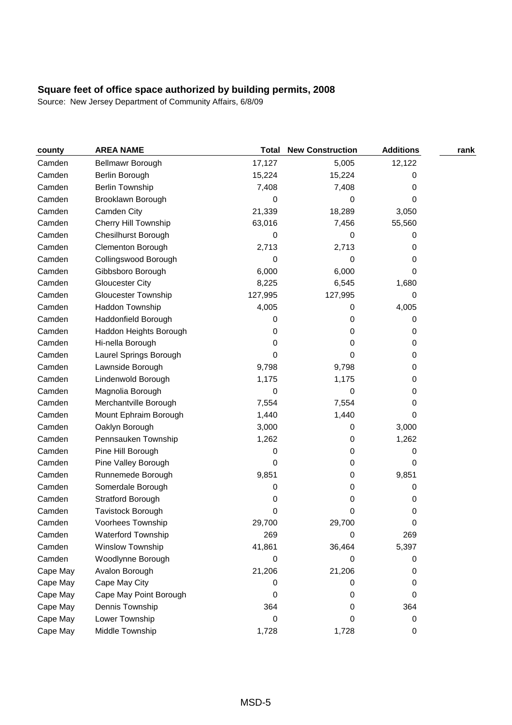| county   | <b>AREA NAME</b>            | <b>Total</b> | <b>New Construction</b> | <b>Additions</b> | rank |
|----------|-----------------------------|--------------|-------------------------|------------------|------|
| Camden   | <b>Bellmawr Borough</b>     | 17,127       | 5,005                   | 12,122           |      |
| Camden   | Berlin Borough              | 15,224       | 15,224                  | 0                |      |
| Camden   | <b>Berlin Township</b>      | 7,408        | 7,408                   | 0                |      |
| Camden   | Brooklawn Borough           | 0            | 0                       | 0                |      |
| Camden   | Camden City                 | 21,339       | 18,289                  | 3,050            |      |
| Camden   | <b>Cherry Hill Township</b> | 63,016       | 7,456                   | 55,560           |      |
| Camden   | <b>Chesilhurst Borough</b>  | 0            | 0                       | 0                |      |
| Camden   | Clementon Borough           | 2,713        | 2,713                   | 0                |      |
| Camden   | Collingswood Borough        | 0            | 0                       | 0                |      |
| Camden   | Gibbsboro Borough           | 6,000        | 6,000                   | 0                |      |
| Camden   | <b>Gloucester City</b>      | 8,225        | 6,545                   | 1,680            |      |
| Camden   | <b>Gloucester Township</b>  | 127,995      | 127,995                 | 0                |      |
| Camden   | Haddon Township             | 4,005        | 0                       | 4,005            |      |
| Camden   | Haddonfield Borough         | 0            | 0                       | 0                |      |
| Camden   | Haddon Heights Borough      | 0            | 0                       | 0                |      |
| Camden   | Hi-nella Borough            | 0            | 0                       | 0                |      |
| Camden   | Laurel Springs Borough      | 0            | 0                       | 0                |      |
| Camden   | Lawnside Borough            | 9,798        | 9,798                   | 0                |      |
| Camden   | Lindenwold Borough          | 1,175        | 1,175                   | 0                |      |
| Camden   | Magnolia Borough            | 0            | 0                       | 0                |      |
| Camden   | Merchantville Borough       | 7,554        | 7,554                   | 0                |      |
| Camden   | Mount Ephraim Borough       | 1,440        | 1,440                   | 0                |      |
| Camden   | Oaklyn Borough              | 3,000        | 0                       | 3,000            |      |
| Camden   | Pennsauken Township         | 1,262        | 0                       | 1,262            |      |
| Camden   | Pine Hill Borough           | 0            | 0                       | 0                |      |
| Camden   | Pine Valley Borough         | 0            | 0                       | 0                |      |
| Camden   | Runnemede Borough           | 9,851        | 0                       | 9,851            |      |
| Camden   | Somerdale Borough           | 0            | 0                       | 0                |      |
| Camden   | <b>Stratford Borough</b>    | 0            | 0                       | 0                |      |
| Camden   | Tavistock Borough           | 0            | 0                       | 0                |      |
| Camden   | Voorhees Township           | 29,700       | 29,700                  | 0                |      |
| Camden   | Waterford Township          | 269          | 0                       | 269              |      |
| Camden   | Winslow Township            | 41,861       | 36,464                  | 5,397            |      |
| Camden   | Woodlynne Borough           | 0            | 0                       | 0                |      |
| Cape May | Avalon Borough              | 21,206       | 21,206                  | 0                |      |
| Cape May | Cape May City               | 0            | 0                       | 0                |      |
| Cape May | Cape May Point Borough      | 0            | 0                       | 0                |      |
| Cape May | Dennis Township             | 364          | 0                       | 364              |      |
| Cape May | Lower Township              | 0            | 0                       | 0                |      |
| Cape May | Middle Township             | 1,728        | 1,728                   | 0                |      |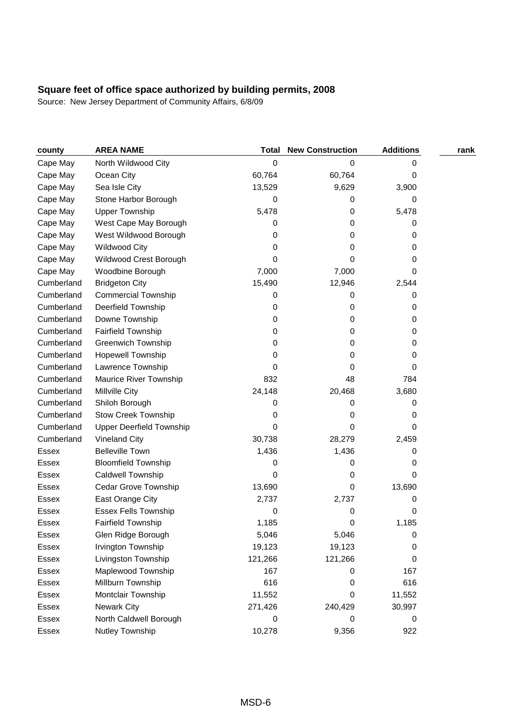| county       | <b>AREA NAME</b>                | <b>Total</b> | <b>New Construction</b> | <b>Additions</b> | rank |
|--------------|---------------------------------|--------------|-------------------------|------------------|------|
| Cape May     | North Wildwood City             | 0            | 0                       | 0                |      |
| Cape May     | Ocean City                      | 60,764       | 60,764                  | 0                |      |
| Cape May     | Sea Isle City                   | 13,529       | 9,629                   | 3,900            |      |
| Cape May     | Stone Harbor Borough            | 0            | 0                       | 0                |      |
| Cape May     | <b>Upper Township</b>           | 5,478        | 0                       | 5,478            |      |
| Cape May     | West Cape May Borough           | 0            | 0                       | 0                |      |
| Cape May     | West Wildwood Borough           | 0            | 0                       | 0                |      |
| Cape May     | <b>Wildwood City</b>            | 0            | 0                       | 0                |      |
| Cape May     | Wildwood Crest Borough          | 0            | 0                       | 0                |      |
| Cape May     | Woodbine Borough                | 7,000        | 7,000                   | 0                |      |
| Cumberland   | <b>Bridgeton City</b>           | 15,490       | 12,946                  | 2,544            |      |
| Cumberland   | <b>Commercial Township</b>      | 0            | 0                       | 0                |      |
| Cumberland   | Deerfield Township              | 0            | 0                       | 0                |      |
| Cumberland   | Downe Township                  | 0            | 0                       | 0                |      |
| Cumberland   | Fairfield Township              | 0            | 0                       | 0                |      |
| Cumberland   | <b>Greenwich Township</b>       | 0            | 0                       | 0                |      |
| Cumberland   | Hopewell Township               | 0            | 0                       | 0                |      |
| Cumberland   | Lawrence Township               | 0            | 0                       | 0                |      |
| Cumberland   | Maurice River Township          | 832          | 48                      | 784              |      |
| Cumberland   | Millville City                  | 24,148       | 20,468                  | 3,680            |      |
| Cumberland   | Shiloh Borough                  | 0            | 0                       | 0                |      |
| Cumberland   | <b>Stow Creek Township</b>      | 0            | 0                       | 0                |      |
| Cumberland   | <b>Upper Deerfield Township</b> | 0            | 0                       | 0                |      |
| Cumberland   | <b>Vineland City</b>            | 30,738       | 28,279                  | 2,459            |      |
| Essex        | <b>Belleville Town</b>          | 1,436        | 1,436                   | 0                |      |
| Essex        | <b>Bloomfield Township</b>      | 0            | 0                       | 0                |      |
| Essex        | Caldwell Township               | 0            | 0                       | 0                |      |
| <b>Essex</b> | Cedar Grove Township            | 13,690       | 0                       | 13,690           |      |
| Essex        | East Orange City                | 2,737        | 2,737                   | 0                |      |
| Essex        | <b>Essex Fells Township</b>     | 0            | 0                       | 0                |      |
| Essex        | <b>Fairfield Township</b>       | 1,185        | 0                       | 1,185            |      |
| Essex        | Glen Ridge Borough              | 5,046        | 5,046                   | 0                |      |
| Essex        | Irvington Township              | 19,123       | 19,123                  | 0                |      |
| Essex        | Livingston Township             | 121,266      | 121,266                 | 0                |      |
| Essex        | Maplewood Township              | 167          | 0                       | 167              |      |
| Essex        | Millburn Township               | 616          | 0                       | 616              |      |
| Essex        | Montclair Township              | 11,552       | 0                       | 11,552           |      |
| Essex        | Newark City                     | 271,426      | 240,429                 | 30,997           |      |
| Essex        | North Caldwell Borough          | 0            | 0                       | 0                |      |
| Essex        | Nutley Township                 | 10,278       | 9,356                   | 922              |      |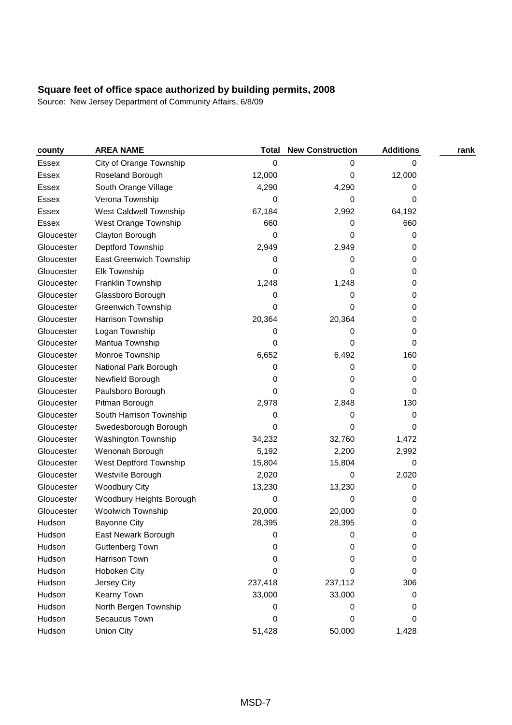| county       | <b>AREA NAME</b>           | <b>Total</b> | <b>New Construction</b> | <b>Additions</b> | rank |
|--------------|----------------------------|--------------|-------------------------|------------------|------|
| Essex        | City of Orange Township    | 0            | 0                       | 0                |      |
| Essex        | Roseland Borough           | 12,000       | 0                       | 12,000           |      |
| <b>Essex</b> | South Orange Village       | 4,290        | 4,290                   | 0                |      |
| <b>Essex</b> | Verona Township            | 0            | 0                       | 0                |      |
| Essex        | West Caldwell Township     | 67,184       | 2,992                   | 64,192           |      |
| <b>Essex</b> | West Orange Township       | 660          | 0                       | 660              |      |
| Gloucester   | Clayton Borough            | 0            | 0                       | 0                |      |
| Gloucester   | Deptford Township          | 2,949        | 2,949                   | 0                |      |
| Gloucester   | East Greenwich Township    | 0            | 0                       | 0                |      |
| Gloucester   | Elk Township               | 0            | 0                       | 0                |      |
| Gloucester   | Franklin Township          | 1,248        | 1,248                   | 0                |      |
| Gloucester   | Glassboro Borough          | 0            | 0                       | 0                |      |
| Gloucester   | <b>Greenwich Township</b>  | 0            | 0                       | 0                |      |
| Gloucester   | Harrison Township          | 20,364       | 20,364                  | 0                |      |
| Gloucester   | Logan Township             | 0            | 0                       | 0                |      |
| Gloucester   | Mantua Township            | 0            | 0                       | 0                |      |
| Gloucester   | Monroe Township            | 6,652        | 6,492                   | 160              |      |
| Gloucester   | National Park Borough      | 0            | 0                       | 0                |      |
| Gloucester   | Newfield Borough           | 0            | 0                       | 0                |      |
| Gloucester   | Paulsboro Borough          | 0            | 0                       | 0                |      |
| Gloucester   | Pitman Borough             | 2,978        | 2,848                   | 130              |      |
| Gloucester   | South Harrison Township    | 0            | 0                       | 0                |      |
| Gloucester   | Swedesborough Borough      | 0            | 0                       | 0                |      |
| Gloucester   | <b>Washington Township</b> | 34,232       | 32,760                  | 1,472            |      |
| Gloucester   | Wenonah Borough            | 5,192        | 2,200                   | 2,992            |      |
| Gloucester   | West Deptford Township     | 15,804       | 15,804                  | 0                |      |
| Gloucester   | Westville Borough          | 2,020        | 0                       | 2,020            |      |
| Gloucester   | <b>Woodbury City</b>       | 13,230       | 13,230                  | 0                |      |
| Gloucester   | Woodbury Heights Borough   | 0            | 0                       | 0                |      |
| Gloucester   | Woolwich Township          | 20,000       | 20,000                  | 0                |      |
| Hudson       | <b>Bayonne City</b>        | 28,395       | 28,395                  | 0                |      |
| Hudson       | East Newark Borough        | 0            | 0                       | 0                |      |
| Hudson       | <b>Guttenberg Town</b>     | 0            | 0                       | 0                |      |
| Hudson       | <b>Harrison Town</b>       | 0            | 0                       | 0                |      |
| Hudson       | Hoboken City               | 0            | 0                       | 0                |      |
| Hudson       | Jersey City                | 237,418      | 237,112                 | 306              |      |
| Hudson       | Kearny Town                | 33,000       | 33,000                  | 0                |      |
| Hudson       | North Bergen Township      | 0            | 0                       | 0                |      |
| Hudson       | Secaucus Town              | 0            | 0                       | 0                |      |
| Hudson       | <b>Union City</b>          | 51,428       | 50,000                  | 1,428            |      |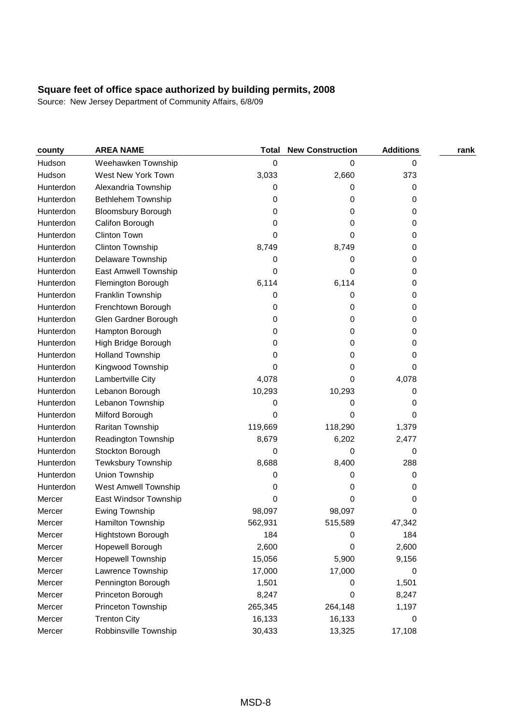| county    | <b>AREA NAME</b>          | <b>Total</b> | <b>New Construction</b> | <b>Additions</b> | rank |
|-----------|---------------------------|--------------|-------------------------|------------------|------|
| Hudson    | Weehawken Township        | 0            | 0                       | 0                |      |
| Hudson    | West New York Town        | 3,033        | 2,660                   | 373              |      |
| Hunterdon | Alexandria Township       | 0            | 0                       | 0                |      |
| Hunterdon | Bethlehem Township        | 0            | 0                       | 0                |      |
| Hunterdon | <b>Bloomsbury Borough</b> | 0            | 0                       | 0                |      |
| Hunterdon | Califon Borough           | 0            | 0                       | 0                |      |
| Hunterdon | <b>Clinton Town</b>       | 0            | 0                       | 0                |      |
| Hunterdon | Clinton Township          | 8,749        | 8,749                   | 0                |      |
| Hunterdon | Delaware Township         | 0            | 0                       | 0                |      |
| Hunterdon | East Amwell Township      | 0            | 0                       | 0                |      |
| Hunterdon | Flemington Borough        | 6,114        | 6,114                   | 0                |      |
| Hunterdon | Franklin Township         | 0            | 0                       | 0                |      |
| Hunterdon | Frenchtown Borough        | 0            | 0                       | 0                |      |
| Hunterdon | Glen Gardner Borough      | 0            | 0                       | 0                |      |
| Hunterdon | Hampton Borough           | 0            | 0                       | 0                |      |
| Hunterdon | High Bridge Borough       | 0            | 0                       | 0                |      |
| Hunterdon | <b>Holland Township</b>   | 0            | 0                       | 0                |      |
| Hunterdon | Kingwood Township         | 0            | 0                       | 0                |      |
| Hunterdon | Lambertville City         | 4,078        | 0                       | 4,078            |      |
| Hunterdon | Lebanon Borough           | 10,293       | 10,293                  | 0                |      |
| Hunterdon | Lebanon Township          | 0            | 0                       | 0                |      |
| Hunterdon | Milford Borough           | 0            | 0                       | 0                |      |
| Hunterdon | Raritan Township          | 119,669      | 118,290                 | 1,379            |      |
| Hunterdon | Readington Township       | 8,679        | 6,202                   | 2,477            |      |
| Hunterdon | Stockton Borough          | 0            | 0                       | 0                |      |
| Hunterdon | Tewksbury Township        | 8,688        | 8,400                   | 288              |      |
| Hunterdon | Union Township            | 0            | 0                       | 0                |      |
| Hunterdon | West Amwell Township      | 0            | 0                       | 0                |      |
| Mercer    | East Windsor Township     | 0            | 0                       | 0                |      |
| Mercer    | Ewing Township            | 98,097       | 98,097                  | 0                |      |
| Mercer    | Hamilton Township         | 562,931      | 515,589                 | 47,342           |      |
| Mercer    | Hightstown Borough        | 184          | 0                       | 184              |      |
| Mercer    | Hopewell Borough          | 2,600        | 0                       | 2,600            |      |
| Mercer    | Hopewell Township         | 15,056       | 5,900                   | 9,156            |      |
| Mercer    | Lawrence Township         | 17,000       | 17,000                  | 0                |      |
| Mercer    | Pennington Borough        | 1,501        | 0                       | 1,501            |      |
| Mercer    | Princeton Borough         | 8,247        | 0                       | 8,247            |      |
| Mercer    | Princeton Township        | 265,345      | 264,148                 | 1,197            |      |
| Mercer    | <b>Trenton City</b>       | 16,133       | 16,133                  | 0                |      |
| Mercer    | Robbinsville Township     | 30,433       | 13,325                  | 17,108           |      |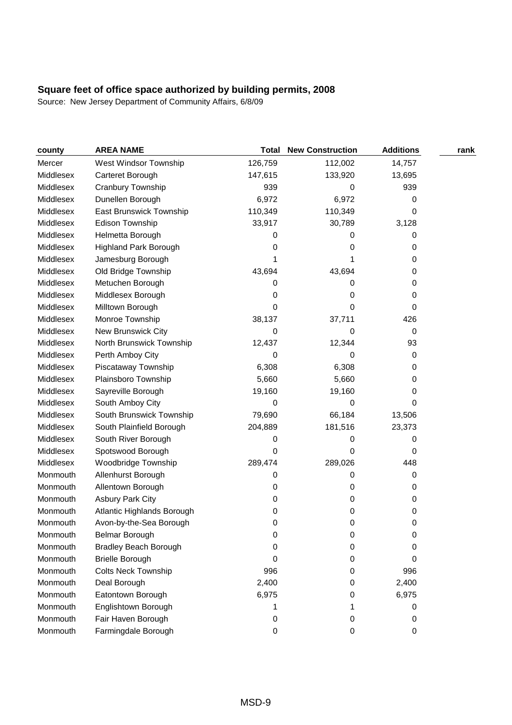| county    | <b>AREA NAME</b>             | Total   | <b>New Construction</b> | <b>Additions</b> | rank |
|-----------|------------------------------|---------|-------------------------|------------------|------|
| Mercer    | West Windsor Township        | 126,759 | 112,002                 | 14,757           |      |
| Middlesex | Carteret Borough             | 147,615 | 133,920                 | 13,695           |      |
| Middlesex | Cranbury Township            | 939     | 0                       | 939              |      |
| Middlesex | Dunellen Borough             | 6,972   | 6,972                   | 0                |      |
| Middlesex | East Brunswick Township      | 110,349 | 110,349                 | 0                |      |
| Middlesex | Edison Township              | 33,917  | 30,789                  | 3,128            |      |
| Middlesex | Helmetta Borough             | 0       | 0                       | 0                |      |
| Middlesex | <b>Highland Park Borough</b> | 0       | 0                       | 0                |      |
| Middlesex | Jamesburg Borough            |         |                         | 0                |      |
| Middlesex | Old Bridge Township          | 43,694  | 43,694                  | 0                |      |
| Middlesex | Metuchen Borough             | 0       | 0                       | 0                |      |
| Middlesex | Middlesex Borough            | 0       | 0                       | 0                |      |
| Middlesex | Milltown Borough             | 0       | 0                       | 0                |      |
| Middlesex | Monroe Township              | 38,137  | 37,711                  | 426              |      |
| Middlesex | New Brunswick City           | 0       | 0                       | 0                |      |
| Middlesex | North Brunswick Township     | 12,437  | 12,344                  | 93               |      |
| Middlesex | Perth Amboy City             | 0       | 0                       | 0                |      |
| Middlesex | Piscataway Township          | 6,308   | 6,308                   | 0                |      |
| Middlesex | Plainsboro Township          | 5,660   | 5,660                   | 0                |      |
| Middlesex | Sayreville Borough           | 19,160  | 19,160                  | 0                |      |
| Middlesex | South Amboy City             | 0       | 0                       | 0                |      |
| Middlesex | South Brunswick Township     | 79,690  | 66,184                  | 13,506           |      |
| Middlesex | South Plainfield Borough     | 204,889 | 181,516                 | 23,373           |      |
| Middlesex | South River Borough          | 0       | 0                       | 0                |      |
| Middlesex | Spotswood Borough            | 0       | 0                       | 0                |      |
| Middlesex | Woodbridge Township          | 289,474 | 289,026                 | 448              |      |
| Monmouth  | Allenhurst Borough           | 0       | 0                       | 0                |      |
| Monmouth  | Allentown Borough            | 0       | 0                       | 0                |      |
| Monmouth  | <b>Asbury Park City</b>      | 0       | 0                       | 0                |      |
| Monmouth  | Atlantic Highlands Borough   | 0       | 0                       | 0                |      |
| Monmouth  | Avon-by-the-Sea Borough      | 0       | 0                       | 0                |      |
| Monmouth  | Belmar Borough               | 0       | 0                       | 0                |      |
| Monmouth  | <b>Bradley Beach Borough</b> | 0       | 0                       | 0                |      |
| Monmouth  | <b>Brielle Borough</b>       | 0       | 0                       | 0                |      |
| Monmouth  | <b>Colts Neck Township</b>   | 996     | 0                       | 996              |      |
| Monmouth  | Deal Borough                 | 2,400   | 0                       | 2,400            |      |
| Monmouth  | Eatontown Borough            | 6,975   | 0                       | 6,975            |      |
| Monmouth  | Englishtown Borough          |         |                         | 0                |      |
| Monmouth  | Fair Haven Borough           | 0       | 0                       | 0                |      |
| Monmouth  | Farmingdale Borough          | 0       | 0                       | 0                |      |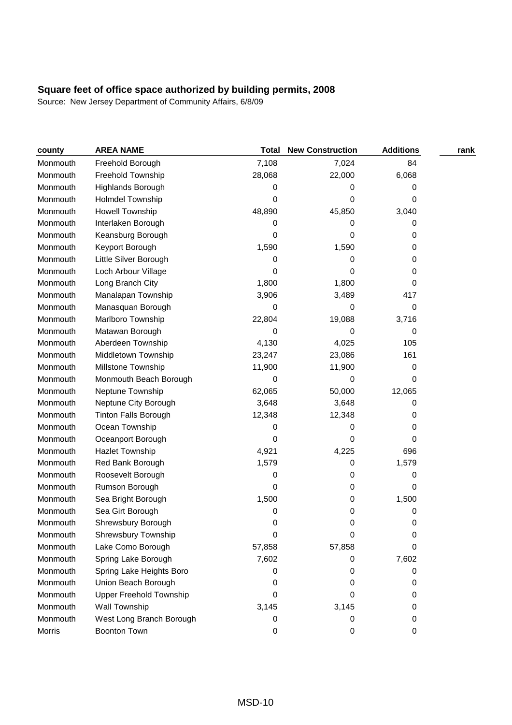| county   | <b>AREA NAME</b>               | <b>Total</b> | <b>New Construction</b> | <b>Additions</b> | rank |
|----------|--------------------------------|--------------|-------------------------|------------------|------|
| Monmouth | Freehold Borough               | 7,108        | 7,024                   | 84               |      |
| Monmouth | Freehold Township              | 28,068       | 22,000                  | 6,068            |      |
| Monmouth | Highlands Borough              | 0            | 0                       | 0                |      |
| Monmouth | Holmdel Township               | 0            | 0                       | 0                |      |
| Monmouth | <b>Howell Township</b>         | 48,890       | 45,850                  | 3,040            |      |
| Monmouth | Interlaken Borough             | 0            | 0                       | 0                |      |
| Monmouth | Keansburg Borough              | 0            | 0                       | 0                |      |
| Monmouth | Keyport Borough                | 1,590        | 1,590                   | 0                |      |
| Monmouth | Little Silver Borough          | 0            | 0                       | 0                |      |
| Monmouth | Loch Arbour Village            | 0            | 0                       | 0                |      |
| Monmouth | Long Branch City               | 1,800        | 1,800                   | 0                |      |
| Monmouth | Manalapan Township             | 3,906        | 3,489                   | 417              |      |
| Monmouth | Manasquan Borough              | 0            | 0                       | 0                |      |
| Monmouth | Marlboro Township              | 22,804       | 19,088                  | 3,716            |      |
| Monmouth | Matawan Borough                | 0            | 0                       | 0                |      |
| Monmouth | Aberdeen Township              | 4,130        | 4,025                   | 105              |      |
| Monmouth | Middletown Township            | 23,247       | 23,086                  | 161              |      |
| Monmouth | Millstone Township             | 11,900       | 11,900                  | 0                |      |
| Monmouth | Monmouth Beach Borough         | 0            | 0                       | 0                |      |
| Monmouth | Neptune Township               | 62,065       | 50,000                  | 12,065           |      |
| Monmouth | Neptune City Borough           | 3,648        | 3,648                   | 0                |      |
| Monmouth | <b>Tinton Falls Borough</b>    | 12,348       | 12,348                  | 0                |      |
| Monmouth | Ocean Township                 | 0            | 0                       | 0                |      |
| Monmouth | Oceanport Borough              | 0            | 0                       | 0                |      |
| Monmouth | Hazlet Township                | 4,921        | 4,225                   | 696              |      |
| Monmouth | Red Bank Borough               | 1,579        | 0                       | 1,579            |      |
| Monmouth | Roosevelt Borough              | 0            | 0                       | 0                |      |
| Monmouth | Rumson Borough                 | 0            | 0                       | 0                |      |
| Monmouth | Sea Bright Borough             | 1,500        | 0                       | 1,500            |      |
| Monmouth | Sea Girt Borough               | 0            | 0                       | 0                |      |
| Monmouth | Shrewsbury Borough             | 0            | 0                       | 0                |      |
| Monmouth | Shrewsbury Township            | 0            | 0                       | 0                |      |
| Monmouth | Lake Como Borough              | 57,858       | 57,858                  | 0                |      |
| Monmouth | Spring Lake Borough            | 7,602        | 0                       | 7,602            |      |
| Monmouth | Spring Lake Heights Boro       | 0            | 0                       | 0                |      |
| Monmouth | Union Beach Borough            | 0            | 0                       | 0                |      |
| Monmouth | <b>Upper Freehold Township</b> | 0            | 0                       | 0                |      |
| Monmouth | Wall Township                  | 3,145        | 3,145                   | 0                |      |
| Monmouth | West Long Branch Borough       | 0            | 0                       | 0                |      |
| Morris   | Boonton Town                   | 0            | 0                       | 0                |      |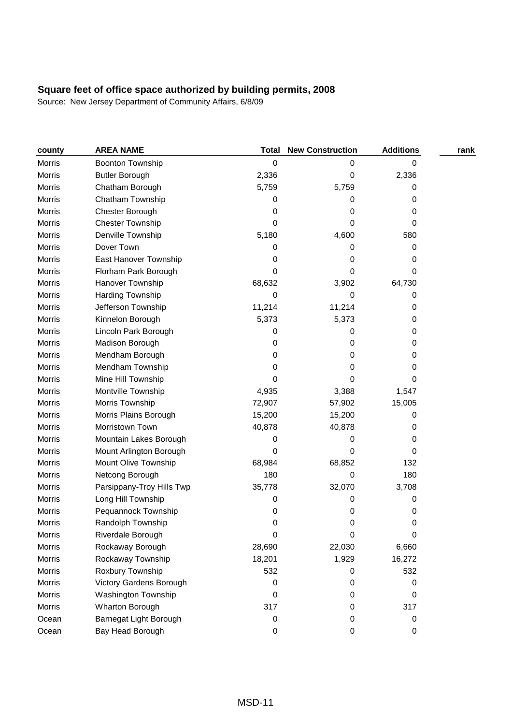| county        | <b>AREA NAME</b>          | <b>Total</b> | <b>New Construction</b> | <b>Additions</b> | rank |
|---------------|---------------------------|--------------|-------------------------|------------------|------|
| Morris        | Boonton Township          | 0            | 0                       | 0                |      |
| Morris        | <b>Butler Borough</b>     | 2,336        | 0                       | 2,336            |      |
| Morris        | Chatham Borough           | 5,759        | 5,759                   | 0                |      |
| <b>Morris</b> | Chatham Township          | 0            | 0                       | 0                |      |
| <b>Morris</b> | Chester Borough           | 0            | 0                       | 0                |      |
| <b>Morris</b> | <b>Chester Township</b>   | 0            | 0                       | 0                |      |
| Morris        | Denville Township         | 5,180        | 4,600                   | 580              |      |
| Morris        | Dover Town                | 0            | 0                       | 0                |      |
| <b>Morris</b> | East Hanover Township     | 0            | 0                       | 0                |      |
| Morris        | Florham Park Borough      | 0            | 0                       | 0                |      |
| <b>Morris</b> | Hanover Township          | 68,632       | 3,902                   | 64,730           |      |
| <b>Morris</b> | Harding Township          | 0            | 0                       | 0                |      |
| Morris        | Jefferson Township        | 11,214       | 11,214                  | 0                |      |
| Morris        | Kinnelon Borough          | 5,373        | 5,373                   | 0                |      |
| Morris        | Lincoln Park Borough      | 0            | 0                       | 0                |      |
| Morris        | Madison Borough           | 0            | 0                       | 0                |      |
| Morris        | Mendham Borough           | 0            | 0                       | 0                |      |
| Morris        | Mendham Township          | 0            | 0                       | 0                |      |
| Morris        | Mine Hill Township        | 0            | 0                       | 0                |      |
| Morris        | Montville Township        | 4,935        | 3,388                   | 1,547            |      |
| Morris        | Morris Township           | 72,907       | 57,902                  | 15,005           |      |
| <b>Morris</b> | Morris Plains Borough     | 15,200       | 15,200                  | 0                |      |
| <b>Morris</b> | Morristown Town           | 40,878       | 40,878                  | 0                |      |
| Morris        | Mountain Lakes Borough    | 0            | 0                       | 0                |      |
| Morris        | Mount Arlington Borough   | 0            | 0                       | 0                |      |
| Morris        | Mount Olive Township      | 68,984       | 68,852                  | 132              |      |
| Morris        | Netcong Borough           | 180          | 0                       | 180              |      |
| Morris        | Parsippany-Troy Hills Twp | 35,778       | 32,070                  | 3,708            |      |
| Morris        | Long Hill Township        | 0            | 0                       | 0                |      |
| Morris        | Pequannock Township       | 0            | 0                       | 0                |      |
| Morris        | Randolph Township         | 0            | 0                       | 0                |      |
| Morris        | Riverdale Borough         | 0            | 0                       | 0                |      |
| Morris        | Rockaway Borough          | 28,690       | 22,030                  | 6,660            |      |
| <b>Morris</b> | Rockaway Township         | 18,201       | 1,929                   | 16,272           |      |
| <b>Morris</b> | Roxbury Township          | 532          | 0                       | 532              |      |
| <b>Morris</b> | Victory Gardens Borough   | 0            | 0                       | 0                |      |
| <b>Morris</b> | Washington Township       | 0            | 0                       | 0                |      |
| <b>Morris</b> | Wharton Borough           | 317          | 0                       | 317              |      |
| Ocean         | Barnegat Light Borough    | 0            | 0                       | 0                |      |
| Ocean         | Bay Head Borough          | 0            | $\pmb{0}$               | 0                |      |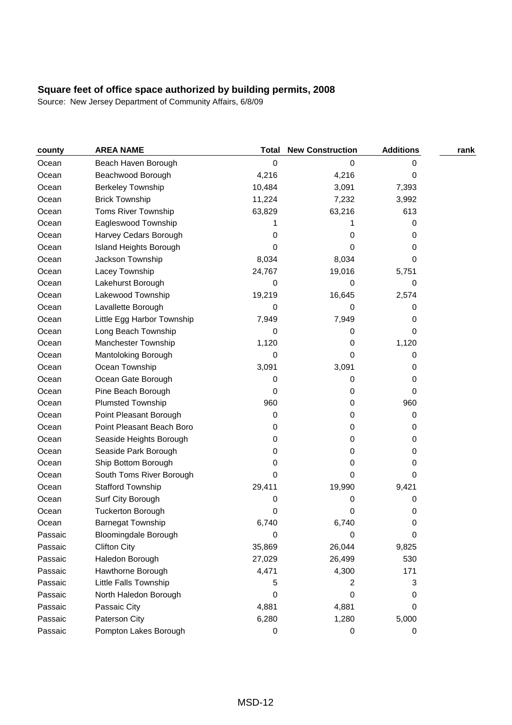| county  | <b>AREA NAME</b>            | <b>Total</b> | <b>New Construction</b> | <b>Additions</b> | rank |
|---------|-----------------------------|--------------|-------------------------|------------------|------|
| Ocean   | Beach Haven Borough         | 0            | 0                       | 0                |      |
| Ocean   | Beachwood Borough           | 4,216        | 4,216                   | 0                |      |
| Ocean   | <b>Berkeley Township</b>    | 10,484       | 3,091                   | 7,393            |      |
| Ocean   | <b>Brick Township</b>       | 11,224       | 7,232                   | 3,992            |      |
| Ocean   | <b>Toms River Township</b>  | 63,829       | 63,216                  | 613              |      |
| Ocean   | Eagleswood Township         |              |                         | 0                |      |
| Ocean   | Harvey Cedars Borough       | 0            | 0                       | 0                |      |
| Ocean   | Island Heights Borough      | 0            | 0                       | 0                |      |
| Ocean   | Jackson Township            | 8,034        | 8,034                   | 0                |      |
| Ocean   | Lacey Township              | 24,767       | 19,016                  | 5,751            |      |
| Ocean   | Lakehurst Borough           | 0            | 0                       | 0                |      |
| Ocean   | Lakewood Township           | 19,219       | 16,645                  | 2,574            |      |
| Ocean   | Lavallette Borough          | 0            | 0                       | 0                |      |
| Ocean   | Little Egg Harbor Township  | 7,949        | 7,949                   | 0                |      |
| Ocean   | Long Beach Township         | 0            | 0                       | 0                |      |
| Ocean   | Manchester Township         | 1,120        | 0                       | 1,120            |      |
| Ocean   | Mantoloking Borough         | 0            | 0                       | 0                |      |
| Ocean   | Ocean Township              | 3,091        | 3,091                   | 0                |      |
| Ocean   | Ocean Gate Borough          | 0            | 0                       | 0                |      |
| Ocean   | Pine Beach Borough          | 0            | 0                       | 0                |      |
| Ocean   | Plumsted Township           | 960          | 0                       | 960              |      |
| Ocean   | Point Pleasant Borough      | 0            | 0                       | 0                |      |
| Ocean   | Point Pleasant Beach Boro   | 0            | 0                       | 0                |      |
| Ocean   | Seaside Heights Borough     | 0            | 0                       | 0                |      |
| Ocean   | Seaside Park Borough        | 0            | 0                       | 0                |      |
| Ocean   | Ship Bottom Borough         | 0            | 0                       | 0                |      |
| Ocean   | South Toms River Borough    | 0            | 0                       | 0                |      |
| Ocean   | <b>Stafford Township</b>    | 29,411       | 19,990                  | 9,421            |      |
| Ocean   | Surf City Borough           | 0            | 0                       | 0                |      |
| Ocean   | <b>Tuckerton Borough</b>    | 0            | 0                       | 0                |      |
| Ocean   | <b>Barnegat Township</b>    | 6,740        | 6,740                   | 0                |      |
| Passaic | <b>Bloomingdale Borough</b> | 0            | 0                       | 0                |      |
| Passaic | <b>Clifton City</b>         | 35,869       | 26,044                  | 9,825            |      |
| Passaic | Haledon Borough             | 27,029       | 26,499                  | 530              |      |
| Passaic | Hawthorne Borough           | 4,471        | 4,300                   | 171              |      |
| Passaic | Little Falls Township       | 5            | 2                       | 3                |      |
| Passaic | North Haledon Borough       | 0            | 0                       | 0                |      |
| Passaic | Passaic City                | 4,881        | 4,881                   | 0                |      |
| Passaic | Paterson City               | 6,280        | 1,280                   | 5,000            |      |
| Passaic | Pompton Lakes Borough       | $\pmb{0}$    | $\pmb{0}$               | 0                |      |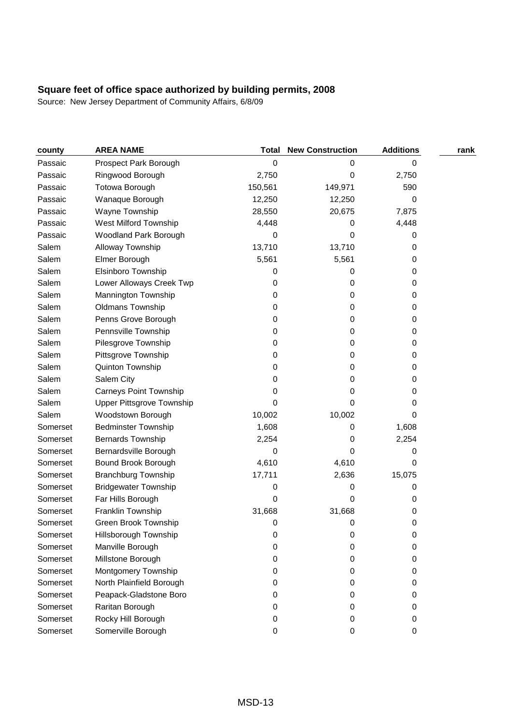| county   | <b>AREA NAME</b>                 | <b>Total</b> | <b>New Construction</b> | <b>Additions</b> | rank |
|----------|----------------------------------|--------------|-------------------------|------------------|------|
| Passaic  | Prospect Park Borough            | 0            | 0                       | 0                |      |
| Passaic  | Ringwood Borough                 | 2,750        | 0                       | 2,750            |      |
| Passaic  | <b>Totowa Borough</b>            | 150,561      | 149,971                 | 590              |      |
| Passaic  | Wanaque Borough                  | 12,250       | 12,250                  | 0                |      |
| Passaic  | Wayne Township                   | 28,550       | 20,675                  | 7,875            |      |
| Passaic  | West Milford Township            | 4,448        | 0                       | 4,448            |      |
| Passaic  | Woodland Park Borough            | 0            | 0                       | 0                |      |
| Salem    | Alloway Township                 | 13,710       | 13,710                  | 0                |      |
| Salem    | Elmer Borough                    | 5,561        | 5,561                   | 0                |      |
| Salem    | Elsinboro Township               | 0            | 0                       | 0                |      |
| Salem    | Lower Alloways Creek Twp         | 0            | 0                       | 0                |      |
| Salem    | Mannington Township              | 0            | 0                       | 0                |      |
| Salem    | Oldmans Township                 | 0            | 0                       | 0                |      |
| Salem    | Penns Grove Borough              | 0            | 0                       | 0                |      |
| Salem    | Pennsville Township              | 0            | 0                       | 0                |      |
| Salem    | Pilesgrove Township              | 0            | 0                       | 0                |      |
| Salem    | Pittsgrove Township              | 0            | 0                       | 0                |      |
| Salem    | Quinton Township                 | 0            | 0                       | 0                |      |
| Salem    | Salem City                       | 0            | 0                       | 0                |      |
| Salem    | <b>Carneys Point Township</b>    | 0            | 0                       | 0                |      |
| Salem    | <b>Upper Pittsgrove Township</b> | 0            | 0                       | 0                |      |
| Salem    | Woodstown Borough                | 10,002       | 10,002                  | 0                |      |
| Somerset | <b>Bedminster Township</b>       | 1,608        | 0                       | 1,608            |      |
| Somerset | <b>Bernards Township</b>         | 2,254        | 0                       | 2,254            |      |
| Somerset | Bernardsville Borough            | 0            | 0                       | 0                |      |
| Somerset | Bound Brook Borough              | 4,610        | 4,610                   | 0                |      |
| Somerset | <b>Branchburg Township</b>       | 17,711       | 2,636                   | 15,075           |      |
| Somerset | <b>Bridgewater Township</b>      | 0            | 0                       | 0                |      |
| Somerset | Far Hills Borough                | 0            | 0                       | 0                |      |
| Somerset | Franklin Township                | 31,668       | 31,668                  | 0                |      |
| Somerset | Green Brook Township             | 0            | 0                       | 0                |      |
| Somerset | Hillsborough Township            | 0            | 0                       | 0                |      |
| Somerset | Manville Borough                 | 0            | 0                       | 0                |      |
| Somerset | Millstone Borough                | 0            | 0                       | 0                |      |
| Somerset | Montgomery Township              | 0            | 0                       | 0                |      |
| Somerset | North Plainfield Borough         | 0            | 0                       | 0                |      |
| Somerset | Peapack-Gladstone Boro           | 0            | 0                       | 0                |      |
| Somerset | Raritan Borough                  | 0            | 0                       | 0                |      |
| Somerset | Rocky Hill Borough               | 0            | 0                       | 0                |      |
| Somerset | Somerville Borough               | 0            | 0                       | 0                |      |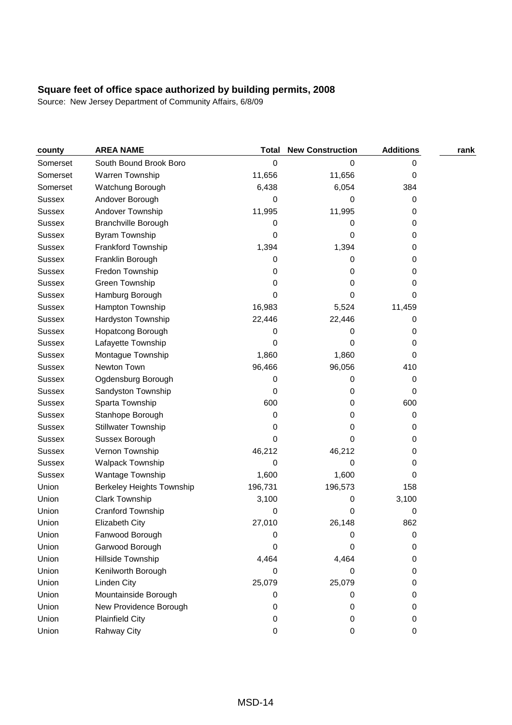| county        | <b>AREA NAME</b>                 | <b>Total</b> | <b>New Construction</b> | <b>Additions</b> | rank |
|---------------|----------------------------------|--------------|-------------------------|------------------|------|
| Somerset      | South Bound Brook Boro           | 0            | 0                       | 0                |      |
| Somerset      | Warren Township                  | 11,656       | 11,656                  | 0                |      |
| Somerset      | Watchung Borough                 | 6,438        | 6,054                   | 384              |      |
| Sussex        | Andover Borough                  | 0            | 0                       | 0                |      |
| <b>Sussex</b> | Andover Township                 | 11,995       | 11,995                  | 0                |      |
| <b>Sussex</b> | <b>Branchville Borough</b>       | 0            | 0                       | 0                |      |
| <b>Sussex</b> | <b>Byram Township</b>            | 0            | 0                       | 0                |      |
| <b>Sussex</b> | Frankford Township               | 1,394        | 1,394                   | 0                |      |
| <b>Sussex</b> | Franklin Borough                 | 0            | 0                       | 0                |      |
| <b>Sussex</b> | Fredon Township                  | 0            | 0                       | 0                |      |
| Sussex        | Green Township                   | 0            | 0                       | 0                |      |
| <b>Sussex</b> | Hamburg Borough                  | 0            | 0                       | 0                |      |
| <b>Sussex</b> | Hampton Township                 | 16,983       | 5,524                   | 11,459           |      |
| <b>Sussex</b> | Hardyston Township               | 22,446       | 22,446                  | 0                |      |
| <b>Sussex</b> | Hopatcong Borough                | 0            | 0                       | 0                |      |
| <b>Sussex</b> | Lafayette Township               | 0            | 0                       | 0                |      |
| <b>Sussex</b> | Montague Township                | 1,860        | 1,860                   | 0                |      |
| Sussex        | Newton Town                      | 96,466       | 96,056                  | 410              |      |
| <b>Sussex</b> | Ogdensburg Borough               | 0            | 0                       | 0                |      |
| <b>Sussex</b> | Sandyston Township               | 0            | 0                       | 0                |      |
| <b>Sussex</b> | Sparta Township                  | 600          | 0                       | 600              |      |
| Sussex        | Stanhope Borough                 | 0            | 0                       | 0                |      |
| <b>Sussex</b> | <b>Stillwater Township</b>       | 0            | 0                       | 0                |      |
| <b>Sussex</b> | Sussex Borough                   | 0            | 0                       | 0                |      |
| Sussex        | Vernon Township                  | 46,212       | 46,212                  | 0                |      |
| <b>Sussex</b> | Walpack Township                 | 0            | 0                       | 0                |      |
| <b>Sussex</b> | Wantage Township                 | 1,600        | 1,600                   | 0                |      |
| Union         | <b>Berkeley Heights Township</b> | 196,731      | 196,573                 | 158              |      |
| Union         | Clark Township                   | 3,100        | 0                       | 3,100            |      |
| Union         | Cranford Township                | 0            | 0                       | 0                |      |
| Union         | <b>Elizabeth City</b>            | 27,010       | 26,148                  | 862              |      |
| Union         | Fanwood Borough                  | 0            | 0                       | 0                |      |
| Union         | Garwood Borough                  | 0            | 0                       | 0                |      |
| Union         | Hillside Township                | 4,464        | 4,464                   | 0                |      |
| Union         | Kenilworth Borough               | 0            | 0                       | 0                |      |
| Union         | Linden City                      | 25,079       | 25,079                  | 0                |      |
| Union         | Mountainside Borough             | 0            | 0                       | 0                |      |
| Union         | New Providence Borough           | 0            | 0                       | 0                |      |
| Union         | <b>Plainfield City</b>           | 0            | 0                       | 0                |      |
| Union         | Rahway City                      | 0            | $\pmb{0}$               | 0                |      |